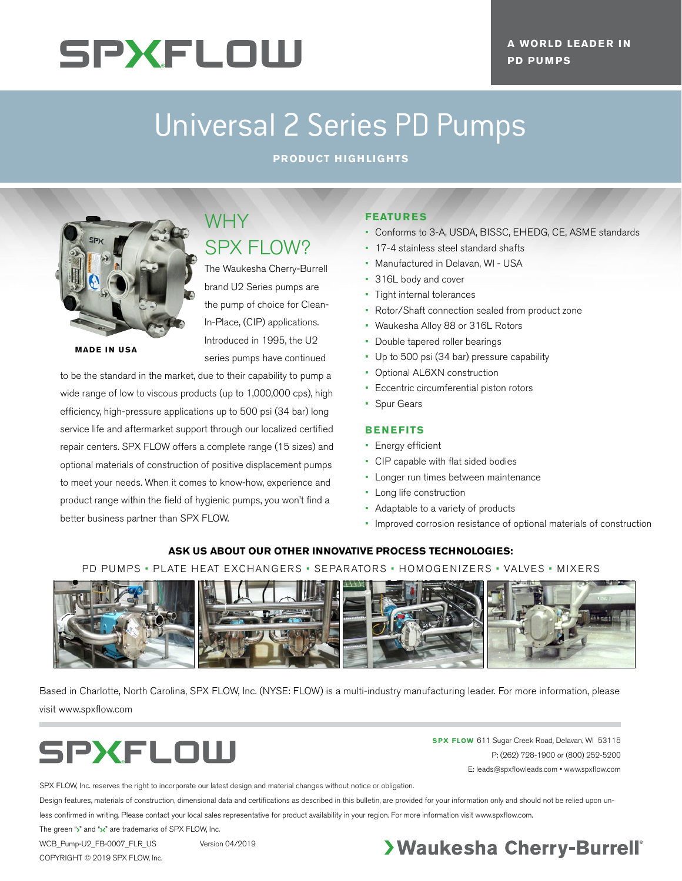# **SPXFLOW**

## Universal 2 Series PD Pumps

**PRODUCT HIGHLIGHTS**



**MADE IN USA**

### WHY SPX FLOW?

The Waukesha Cherry-Burrell brand U2 Series pumps are the pump of choice for Clean-In-Place, (CIP) applications. Introduced in 1995, the U2 series pumps have continued

to be the standard in the market, due to their capability to pump a wide range of low to viscous products (up to 1,000,000 cps), high efficiency, high-pressure applications up to 500 psi (34 bar) long service life and aftermarket support through our localized certified repair centers. SPX FLOW offers a complete range (15 sizes) and optional materials of construction of positive displacement pumps to meet your needs. When it comes to know-how, experience and product range within the field of hygienic pumps, you won't find a better business partner than SPX FLOW.

#### **FEATURES**

- Conforms to 3-A, USDA, BISSC, EHEDG, CE, ASME standards
- 17-4 stainless steel standard shafts
- Manufactured in Delavan, WI USA
- 316L body and cover
- Tight internal tolerances
- Rotor/Shaft connection sealed from product zone
- Waukesha Alloy 88 or 316L Rotors
- Double tapered roller bearings
- Up to 500 psi (34 bar) pressure capability
- Optional AL6XN construction
- Eccentric circumferential piston rotors
- Spur Gears

#### **BENEFITS**

- Energy efficient
- CIP capable with flat sided bodies
- Longer run times between maintenance
- Long life construction
- Adaptable to a variety of products
- Improved corrosion resistance of optional materials of construction

#### **ASK US ABOUT OUR OTHER INNOVATIVE PROCESS TECHNOLOGIES:**

PD PUMPS • PLATE HEAT EXCHANGERS • SEPARATORS • HOMOGENIZERS • VALVES • MIXERS



Based in Charlotte, North Carolina, SPX FLOW, Inc. (NYSE: FLOW) is a multi-industry manufacturing leader. For more information, please visit www.spxflow.com



**SPX FLOW** 611 Sugar Creek Road, Delavan, WI 53115 P: (262) 728-1900 or (800) 252-5200 E: leads@spxflowleads.com • www.spxflow.com

SPX FLOW, Inc. reserves the right to incorporate our latest design and material changes without notice or obligation.

Design features, materials of construction, dimensional data and certifications as described in this bulletin, are provided for your information only and should not be relied upon unless confirmed in writing. Please contact your local sales representative for product availability in your region. For more information visit www.spxflow.com.

The green ">" and " $\times$ " are trademarks of SPX FLOW, Inc.

WCB\_Pump-U2\_FB-0007\_FLR\_US Version 04/2019 COPYRIGHT © 2019 SPX FLOW, Inc.

### **>Waukesha Cherry-Burrell®**